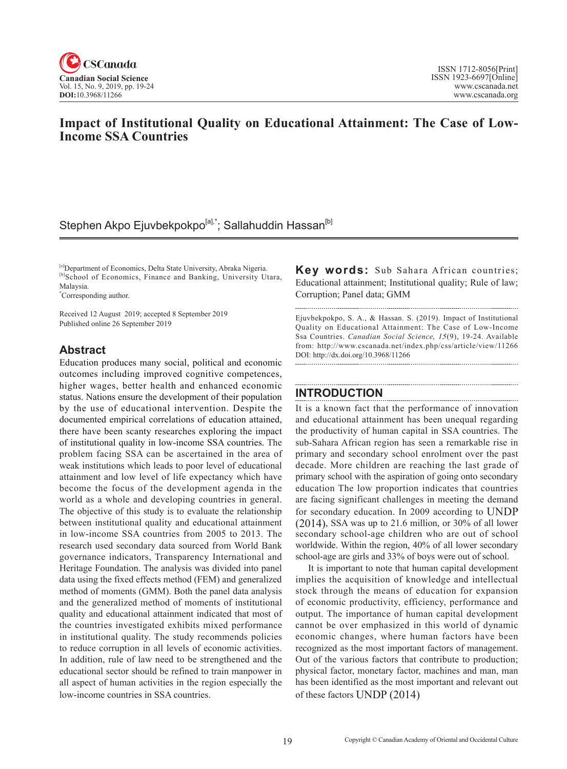

## **Impact of Institutional Quality on Educational Attainment: The Case of Low-Income SSA Countries**

## Stephen Akpo Ejuvbekpokpo<sup>[a],\*</sup>; Sallahuddin Hassan<sup>[b]</sup>

[a]Department of Economics, Delta State University, Abraka Nigeria. [b]School of Economics, Finance and Banking, University Utara, Malaysia.

\* Corresponding author.

Received 12 August 2019; accepted 8 September 2019 Published online 26 September 2019

#### **Abstract**

Education produces many social, political and economic outcomes including improved cognitive competences, higher wages, better health and enhanced economic status. Nations ensure the development of their population by the use of educational intervention. Despite the documented empirical correlations of education attained, there have been scanty researches exploring the impact of institutional quality in low-income SSA countries. The problem facing SSA can be ascertained in the area of weak institutions which leads to poor level of educational attainment and low level of life expectancy which have become the focus of the development agenda in the world as a whole and developing countries in general. The objective of this study is to evaluate the relationship between institutional quality and educational attainment in low-income SSA countries from 2005 to 2013. The research used secondary data sourced from World Bank governance indicators, Transparency International and Heritage Foundation. The analysis was divided into panel data using the fixed effects method (FEM) and generalized method of moments (GMM). Both the panel data analysis and the generalized method of moments of institutional quality and educational attainment indicated that most of the countries investigated exhibits mixed performance in institutional quality. The study recommends policies to reduce corruption in all levels of economic activities. In addition, rule of law need to be strengthened and the educational sector should be refined to train manpower in all aspect of human activities in the region especially the low-income countries in SSA countries.

**Key words:** Sub Sahara African countries; Educational attainment; Institutional quality; Rule of law; Corruption; Panel data; GMM

Ejuvbekpokpo, S. A., & Hassan. S. (2019). Impact of Institutional Quality on Educational Attainment: The Case of Low-Income Ssa Countries. *Canadian Social Science*, 15(9), 19-24. Available from: http://www.cscanada.net/index.php/css/article/view/11266 DOI: http://dx.doi.org/10.3968/11266

### **INTRODUCTION**

It is a known fact that the performance of innovation and educational attainment has been unequal regarding the productivity of human capital in SSA countries. The sub-Sahara African region has seen a remarkable rise in primary and secondary school enrolment over the past decade. More children are reaching the last grade of primary school with the aspiration of going onto secondary education The low proportion indicates that countries are facing significant challenges in meeting the demand for secondary education. In 2009 according to UNDP (2014), SSA was up to 21.6 million, or 30% of all lower secondary school-age children who are out of school worldwide. Within the region, 40% of all lower secondary school-age are girls and 33% of boys were out of school.

It is important to note that human capital development implies the acquisition of knowledge and intellectual stock through the means of education for expansion of economic productivity, efficiency, performance and output. The importance of human capital development cannot be over emphasized in this world of dynamic economic changes, where human factors have been recognized as the most important factors of management. Out of the various factors that contribute to production; physical factor, monetary factor, machines and man, man has been identified as the most important and relevant out of these factors UNDP (2014)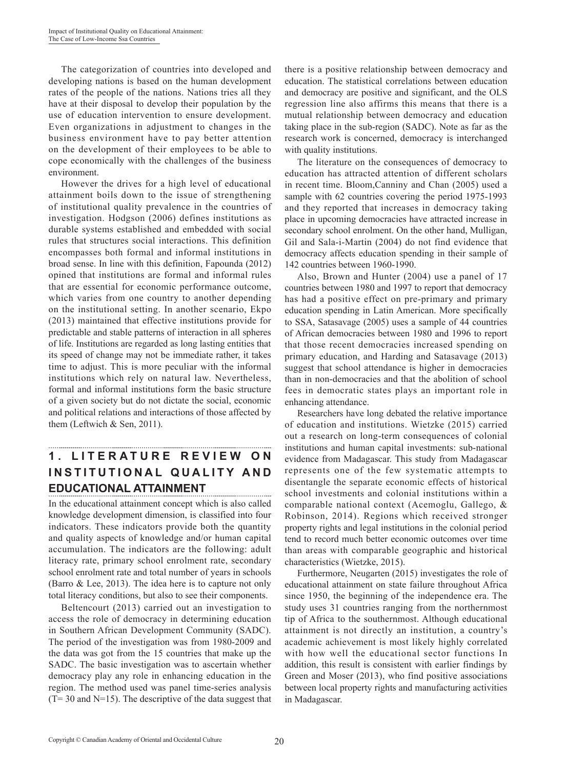The categorization of countries into developed and developing nations is based on the human development rates of the people of the nations. Nations tries all they have at their disposal to develop their population by the use of education intervention to ensure development. Even organizations in adjustment to changes in the business environment have to pay better attention on the development of their employees to be able to cope economically with the challenges of the business environment.

However the drives for a high level of educational attainment boils down to the issue of strengthening of institutional quality prevalence in the countries of investigation. Hodgson (2006) defines institutions as durable systems established and embedded with social rules that structures social interactions. This definition encompasses both formal and informal institutions in broad sense. In line with this definition, Fapounda (2012) opined that institutions are formal and informal rules that are essential for economic performance outcome, which varies from one country to another depending on the institutional setting. In another scenario, Ekpo (2013) maintained that effective institutions provide for predictable and stable patterns of interaction in all spheres of life. Institutions are regarded as long lasting entities that its speed of change may not be immediate rather, it takes time to adjust. This is more peculiar with the informal institutions which rely on natural law. Nevertheless, formal and informal institutions form the basic structure of a given society but do not dictate the social, economic and political relations and interactions of those affected by them (Leftwich & Sen, 2011).

# **1 . L I T E R A T U R E R E V I E W O N INSTITUTIONAL QUALITY AND EDUCATIONAL ATTAINMENT**

In the educational attainment concept which is also called knowledge development dimension, is classified into four indicators. These indicators provide both the quantity and quality aspects of knowledge and/or human capital accumulation. The indicators are the following: adult literacy rate, primary school enrolment rate, secondary school enrolment rate and total number of years in schools (Barro & Lee, 2013). The idea here is to capture not only total literacy conditions, but also to see their components.

Beltencourt (2013) carried out an investigation to access the role of democracy in determining education in Southern African Development Community (SADC). The period of the investigation was from 1980-2009 and the data was got from the 15 countries that make up the SADC. The basic investigation was to ascertain whether democracy play any role in enhancing education in the region. The method used was panel time-series analysis  $(T= 30$  and N=15). The descriptive of the data suggest that there is a positive relationship between democracy and education. The statistical correlations between education and democracy are positive and significant, and the OLS regression line also affirms this means that there is a mutual relationship between democracy and education taking place in the sub-region (SADC). Note as far as the research work is concerned, democracy is interchanged with quality institutions.

The literature on the consequences of democracy to education has attracted attention of different scholars in recent time. Bloom,Canniny and Chan (2005) used a sample with 62 countries covering the period 1975-1993 and they reported that increases in democracy taking place in upcoming democracies have attracted increase in secondary school enrolment. On the other hand, Mulligan, Gil and Sala-i-Martin (2004) do not find evidence that democracy affects education spending in their sample of 142 countries between 1960-1990.

Also, Brown and Hunter (2004) use a panel of 17 countries between 1980 and 1997 to report that democracy has had a positive effect on pre-primary and primary education spending in Latin American. More specifically to SSA, Satasavage (2005) uses a sample of 44 countries of African democracies between 1980 and 1996 to report that those recent democracies increased spending on primary education, and Harding and Satasavage (2013) suggest that school attendance is higher in democracies than in non-democracies and that the abolition of school fees in democratic states plays an important role in enhancing attendance.

Researchers have long debated the relative importance of education and institutions. Wietzke (2015) carried out a research on long-term consequences of colonial institutions and human capital investments: sub-national evidence from Madagascar. This study from Madagascar represents one of the few systematic attempts to disentangle the separate economic effects of historical school investments and colonial institutions within a comparable national context (Acemoglu, Gallego, & Robinson, 2014). Regions which received stronger property rights and legal institutions in the colonial period tend to record much better economic outcomes over time than areas with comparable geographic and historical characteristics (Wietzke, 2015).

Furthermore, Neugarten (2015) investigates the role of educational attainment on state failure throughout Africa since 1950, the beginning of the independence era. The study uses 31 countries ranging from the northernmost tip of Africa to the southernmost. Although educational attainment is not directly an institution, a country's academic achievement is most likely highly correlated with how well the educational sector functions In addition, this result is consistent with earlier findings by Green and Moser (2013), who find positive associations between local property rights and manufacturing activities in Madagascar.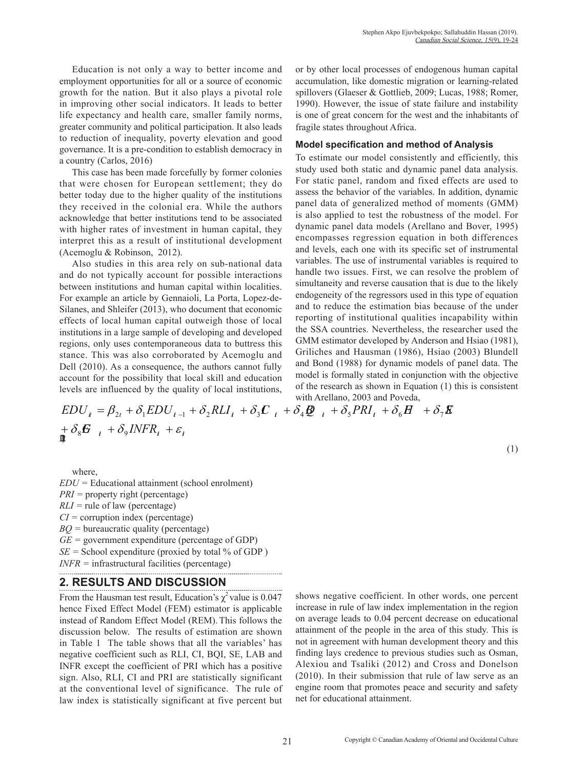Education is not only a way to better income and employment opportunities for all or a source of economic growth for the nation. But it also plays a pivotal role in improving other social indicators. It leads to better life expectancy and health care, smaller family norms, greater community and political participation. It also leads to reduction of inequality, poverty elevation and good governance. It is a pre-condition to establish democracy in a country (Carlos, 2016)

This case has been made forcefully by former colonies that were chosen for European settlement; they do better today due to the higher quality of the institutions they received in the colonial era. While the authors acknowledge that better institutions tend to be associated with higher rates of investment in human capital, they interpret this as a result of institutional development (Acemoglu & Robinson, 2012).

Also studies in this area rely on sub-national data and do not typically account for possible interactions between institutions and human capital within localities. For example an article by Gennaioli, La Porta, Lopez-de-Silanes, and Shleifer (2013), who document that economic effects of local human capital outweigh those of local institutions in a large sample of developing and developed regions, only uses contemporaneous data to buttress this stance. This was also corroborated by Acemoglu and Dell (2010). As a consequence, the authors cannot fully account for the possibility that local skill and education levels are influenced by the quality of local institutions,

or by other local processes of endogenous human capital accumulation, like domestic migration or learning-related spillovers (Glaeser & Gottlieb, 2009; Lucas, 1988; Romer, 1990). However, the issue of state failure and instability is one of great concern for the west and the inhabitants of fragile states throughout Africa.

#### **Model specification and method of Analysis**

To estimate our model consistently and efficiently, this study used both static and dynamic panel data analysis. For static panel, random and fixed effects are used to assess the behavior of the variables. In addition, dynamic panel data of generalized method of moments (GMM) is also applied to test the robustness of the model. For dynamic panel data models (Arellano and Bover, 1995) encompasses regression equation in both differences and levels, each one with its specific set of instrumental variables. The use of instrumental variables is required to handle two issues. First, we can resolve the problem of simultaneity and reverse causation that is due to the likely endogeneity of the regressors used in this type of equation and to reduce the estimation bias because of the under reporting of institutional qualities incapability within the SSA countries. Nevertheless, the researcher used the GMM estimator developed by Anderson and Hsiao (1981), Griliches and Hausman (1986), Hsiao (2003) Blundell and Bond (1988) for dynamic models of panel data. The model is formally stated in conjunction with the objective of the research as shown in Equation (1) this is consistent with Arellano, 2003 and Poveda,

(1)

$$
EDU_i = \beta_{2t} + \delta_1 EDU_{i-1} + \delta_2 RLI_i + \delta_3 \mathbf{C}_{i} + \delta_4 \mathbf{Q}_{i} + \delta_5 PRI_i + \delta_6 \mathbf{H}^2 + \delta_7 \mathbf{E}
$$
  
+  $\delta_8 \mathbf{G}_{i} + \delta_9 INFR_i + \varepsilon_i$ 

where,

*EDU =* Educational attainment (school enrolment) *PRI* = property right (percentage) *RLI =* rule of law (percentage) *CI =* corruption index (percentage) *BQ =* bureaucratic quality (percentage) *GE =* government expenditure (percentage of GDP)  $SE =$  School expenditure (proxied by total % of GDP) *INFR* = infrastructural facilities (percentage)

## **2. RESULTS AND DISCUSSION**

From the Hausman test result, Education's  $\chi^2$  value is 0.047 hence Fixed Effect Model (FEM) estimator is applicable instead of Random Effect Model (REM). This follows the discussion below. The results of estimation are shown in Table 1 The table shows that all the variables' has negative coefficient such as RLI, CI, BQI, SE, LAB and INFR except the coefficient of PRI which has a positive sign. Also, RLI, CI and PRI are statistically significant at the conventional level of significance. The rule of law index is statistically significant at five percent but shows negative coefficient. In other words, one percent increase in rule of law index implementation in the region on average leads to 0.04 percent decrease on educational attainment of the people in the area of this study. This is not in agreement with human development theory and this finding lays credence to previous studies such as Osman, Alexiou and Tsaliki (2012) and Cross and Donelson (2010). In their submission that rule of law serve as an engine room that promotes peace and security and safety net for educational attainment.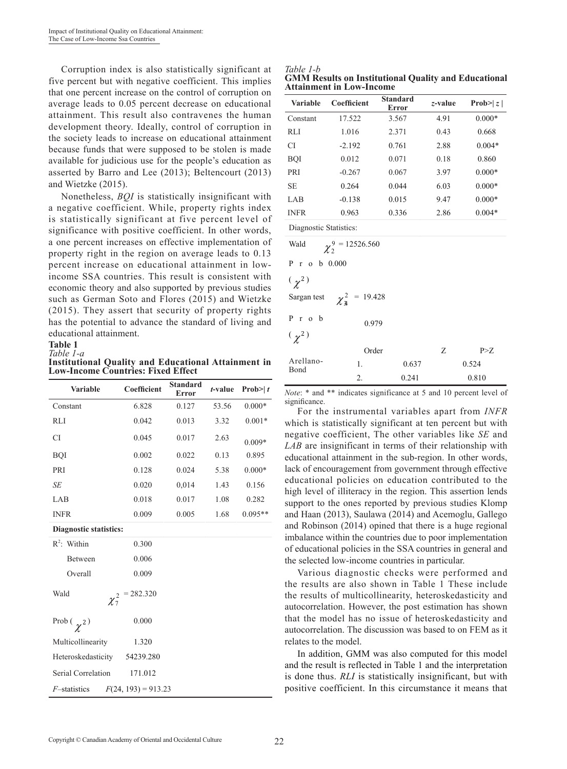Corruption index is also statistically significant at five percent but with negative coefficient. This implies that one percent increase on the control of corruption on average leads to 0.05 percent decrease on educational attainment. This result also contravenes the human development theory. Ideally, control of corruption in the society leads to increase on educational attainment because funds that were supposed to be stolen is made available for judicious use for the people's education as asserted by Barro and Lee (2013); Beltencourt (2013) and Wietzke (2015).

Nonetheless, *BQI* is statistically insignificant with a negative coefficient. While, property rights index is statistically significant at five percent level of significance with positive coefficient. In other words, a one percent increases on effective implementation of property right in the region on average leads to 0.13 percent increase on educational attainment in lowincome SSA countries. This result is consistent with economic theory and also supported by previous studies such as German Soto and Flores (2015) and Wietzke (2015). They assert that security of property rights has the potential to advance the standard of living and educational attainment.

#### **Table 1** *Table 1-a*

**Institutional Quality and Educational Attainment in Low-Income Countries: Fixed Effect**

| <b>Variable</b>                               | Coefficient | <b>Standard</b><br><b>Error</b> | t-value | Prob $\geq t$ |  |  |  |
|-----------------------------------------------|-------------|---------------------------------|---------|---------------|--|--|--|
| Constant                                      | 6.828       | 0.127                           | 53.56   | $0.000*$      |  |  |  |
| <b>RLI</b>                                    | 0.042       | 0.013<br>3.32                   |         | $0.001*$      |  |  |  |
| <b>CI</b>                                     | 0.045       | 0.017                           | 2.63    | $0.009*$      |  |  |  |
| <b>BQI</b>                                    | 0.002       | 0.022                           | 0.13    | 0.895         |  |  |  |
| PRI                                           | 0.128       | 0.024                           | 5.38    | $0.000*$      |  |  |  |
| SE                                            | 0.020       | 0,014                           | 1.43    | 0.156         |  |  |  |
| LAB                                           | 0.018       | 0.017                           | 1.08    | 0.282         |  |  |  |
| <b>INFR</b>                                   | 0.009       | 0.005                           | 1.68    | $0.095**$     |  |  |  |
| <b>Diagnostic statistics:</b>                 |             |                                 |         |               |  |  |  |
| $R^2$ : Within                                | 0.300       |                                 |         |               |  |  |  |
| Between                                       | 0.006       |                                 |         |               |  |  |  |
| Overall                                       | 0.009       |                                 |         |               |  |  |  |
| Wald<br>$= 282.320$<br>$\chi^2_7$             |             |                                 |         |               |  |  |  |
| Prob $(\gamma^2)$                             | 0.000       |                                 |         |               |  |  |  |
| Multicollinearity                             | 1.320       |                                 |         |               |  |  |  |
| Heteroskedasticity<br>54239.280               |             |                                 |         |               |  |  |  |
| Serial Correlation<br>171.012                 |             |                                 |         |               |  |  |  |
| $F(24, 193) = 913.23$<br><i>F</i> -statistics |             |                                 |         |               |  |  |  |

| Table 1-b                                                   |  |
|-------------------------------------------------------------|--|
| <b>GMM Results on Institutional Quality and Educational</b> |  |
| <b>Attainment in Low-Income</b>                             |  |

| <b>Variable</b>        | Coefficient | <b>Standard</b><br>Error | z-value | Prob $\geq  z $ |  |
|------------------------|-------------|--------------------------|---------|-----------------|--|
| Constant               | 17.522      | 3.567                    | 4.91    | $0.000*$        |  |
| RLI                    | 1.016       | 2.371                    | 0.43    | 0.668           |  |
| CI                     | $-2.192$    | 0.761                    | 2.88    | $0.004*$        |  |
| <b>BOI</b>             | 0.012       | 0.071                    | 0.18    | 0.860           |  |
| PRI                    | $-0.267$    | 0.067                    | 3.97    | $0.000*$        |  |
| <b>SE</b>              | 0.264       | 0.044                    | 6.03    | $0.000*$        |  |
| LAB                    | $-0.138$    | 0.015                    | 9.47    | $0.000*$        |  |
| <b>INFR</b>            | 0.963       | 0.336                    | 2.86    | $0.004*$        |  |
| Diagnostic Statistics: |             |                          |         |                 |  |

| Wald<br>$\chi^{9}$ = 12526.560        |       |       |   |       |  |  |
|---------------------------------------|-------|-------|---|-------|--|--|
| P r o b $0.000$                       |       |       |   |       |  |  |
| $(\chi^2)$                            |       |       |   |       |  |  |
| Sargan test $\chi^2_{\rm a}$ = 19.428 |       |       |   |       |  |  |
| $P$ r $o$ b                           | 0.979 |       |   |       |  |  |
| $(\gamma^2)$                          |       |       |   |       |  |  |
|                                       | Order |       | Z | P>Z   |  |  |
| Arellano-<br>Bond                     | 1.    | 0.637 |   | 0.524 |  |  |
|                                       | 2.    | 0.241 |   | 0.810 |  |  |

*Note*: \* and \*\* indicates significance at 5 and 10 percent level of significance.

For the instrumental variables apart from *INFR* which is statistically significant at ten percent but with negative coefficient, The other variables like *SE* and *LAB* are insignificant in terms of their relationship with educational attainment in the sub-region. In other words, lack of encouragement from government through effective educational policies on education contributed to the high level of illiteracy in the region. This assertion lends support to the ones reported by previous studies Klomp and Haan (2013), Saulawa (2014) and Acemoglu, Gallego and Robinson (2014) opined that there is a huge regional imbalance within the countries due to poor implementation of educational policies in the SSA countries in general and the selected low-income countries in particular.

Various diagnostic checks were performed and the results are also shown in Table 1 These include the results of multicollinearity, heteroskedasticity and autocorrelation. However, the post estimation has shown that the model has no issue of heteroskedasticity and autocorrelation. The discussion was based to on FEM as it relates to the model.

In addition, GMM was also computed for this model and the result is reflected in Table 1 and the interpretation is done thus. *RLI* is statistically insignificant, but with positive coefficient. In this circumstance it means that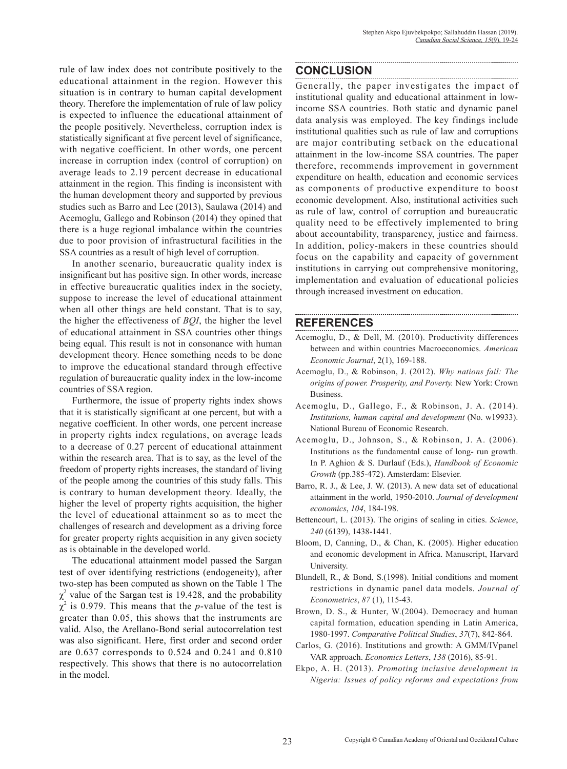rule of law index does not contribute positively to the educational attainment in the region. However this situation is in contrary to human capital development theory. Therefore the implementation of rule of law policy is expected to influence the educational attainment of the people positively. Nevertheless, corruption index is statistically significant at five percent level of significance, with negative coefficient. In other words, one percent increase in corruption index (control of corruption) on average leads to 2.19 percent decrease in educational attainment in the region. This finding is inconsistent with the human development theory and supported by previous studies such as Barro and Lee (2013), Saulawa (2014) and Acemoglu, Gallego and Robinson (2014) they opined that there is a huge regional imbalance within the countries due to poor provision of infrastructural facilities in the SSA countries as a result of high level of corruption.

In another scenario, bureaucratic quality index is insignificant but has positive sign. In other words, increase in effective bureaucratic qualities index in the society, suppose to increase the level of educational attainment when all other things are held constant. That is to say, the higher the effectiveness of *BQI*, the higher the level of educational attainment in SSA countries other things being equal. This result is not in consonance with human development theory. Hence something needs to be done to improve the educational standard through effective regulation of bureaucratic quality index in the low-income countries of SSA region.

Furthermore, the issue of property rights index shows that it is statistically significant at one percent, but with a negative coefficient. In other words, one percent increase in property rights index regulations, on average leads to a decrease of 0.27 percent of educational attainment within the research area. That is to say, as the level of the freedom of property rights increases, the standard of living of the people among the countries of this study falls. This is contrary to human development theory. Ideally, the higher the level of property rights acquisition, the higher the level of educational attainment so as to meet the challenges of research and development as a driving force for greater property rights acquisition in any given society as is obtainable in the developed world.

The educational attainment model passed the Sargan test of over identifying restrictions (endogeneity), after two-step has been computed as shown on the Table 1 The  $\chi^2$  value of the Sargan test is 19.428, and the probability  $\chi^2$  is 0.979. This means that the *p*-value of the test is greater than 0.05, this shows that the instruments are valid. Also, the Arellano-Bond serial autocorrelation test was also significant. Here, first order and second order are 0.637 corresponds to 0.524 and 0.241 and 0.810 respectively. This shows that there is no autocorrelation in the model.

#### **CONCLUSION**

Generally, the paper investigates the impact of institutional quality and educational attainment in lowincome SSA countries. Both static and dynamic panel data analysis was employed. The key findings include institutional qualities such as rule of law and corruptions are major contributing setback on the educational attainment in the low-income SSA countries. The paper therefore, recommends improvement in government expenditure on health, education and economic services as components of productive expenditure to boost economic development. Also, institutional activities such as rule of law, control of corruption and bureaucratic quality need to be effectively implemented to bring about accountability, transparency, justice and fairness. In addition, policy-makers in these countries should focus on the capability and capacity of government institutions in carrying out comprehensive monitoring, implementation and evaluation of educational policies through increased investment on education.

#### **REFERENCES**

Acemoglu, D., & Dell, M. (2010). Productivity differences between and within countries Macroeconomics. *American Economic Journal*, 2(1), 169-188.

- Acemoglu, D., & Robinson, J. (2012). *Why nations fail: The origins of power. Prosperity, and Poverty.* New York: Crown Business.
- Acemoglu, D., Gallego, F., & Robinson, J. A. (2014). *Institutions, human capital and development* (No. w19933). National Bureau of Economic Research.
- Acemoglu, D., Johnson, S., & Robinson, J. A. (2006). Institutions as the fundamental cause of long- run growth. In P. Aghion & S. Durlauf (Eds.), *Handbook of Economic Growth* (pp.385-472). Amsterdam: Elsevier.
- Barro, R. J., & Lee, J. W. (2013). A new data set of educational attainment in the world, 1950-2010. *Journal of development economics*, *104*, 184-198.
- Bettencourt, L. (2013). The origins of scaling in cities. *Science*, *240* (6139), 1438-1441.
- Bloom, D, Canning, D., & Chan, K. (2005). Higher education and economic development in Africa. Manuscript, Harvard University.
- Blundell, R., & Bond, S.(1998). Initial conditions and moment restrictions in dynamic panel data models. *Journal of Econometrics*, *87* (1), 115-43.
- Brown, D. S., & Hunter, W.(2004). Democracy and human capital formation, education spending in Latin America, 1980-1997. *Comparative Political Studies*, *37*(7), 842-864.
- Carlos, G. (2016). Institutions and growth: A GMM/IVpanel VAR approach. *Economics Letters*, *138* (2016), 85-91.
- Ekpo, A. H. (2013). *Promoting inclusive development in Nigeria: Issues of policy reforms and expectations from*